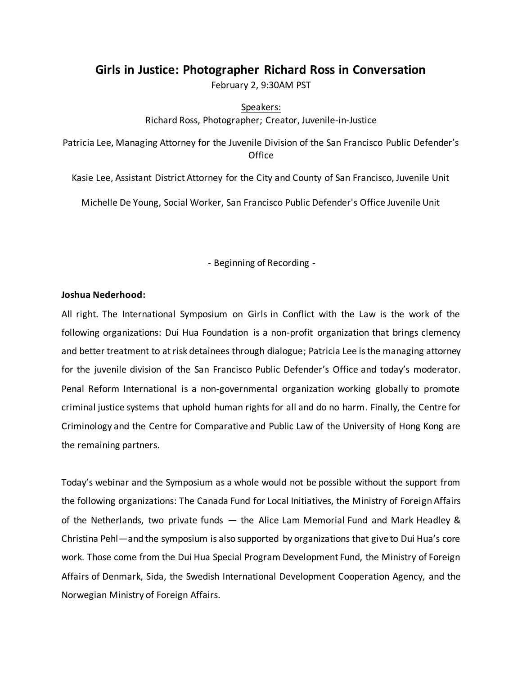# **Girls in Justice: Photographer Richard Ross in Conversation**

February 2, 9:30AM PST

Speakers: Richard Ross, Photographer; Creator, Juvenile-in-Justice

Patricia Lee, Managing Attorney for the Juvenile Division of the San Francisco Public Defender's **Office** 

Kasie Lee, Assistant District Attorney for the City and County of San Francisco, Juvenile Unit

Michelle De Young, Social Worker, San Francisco Public Defender's Office Juvenile Unit

- Beginning of Recording -

## **Joshua Nederhood:**

All right. The International Symposium on Girls in Conflict with the Law is the work of the following organizations: Dui Hua Foundation is a non-profit organization that brings clemency and better treatment to at risk detainees through dialogue; Patricia Lee is the managing attorney for the juvenile division of the San Francisco Public Defender's Office and today's moderator. Penal Reform International is a non-governmental organization working globally to promote criminal justice systems that uphold human rights for all and do no harm. Finally, the Centre for Criminology and the Centre for Comparative and Public Law of the University of Hong Kong are the remaining partners.

Today's webinar and the Symposium as a whole would not be possible without the support from the following organizations: The Canada Fund for Local Initiatives, the Ministry of Foreign Affairs of the Netherlands, two private funds — the Alice Lam Memorial Fund and Mark Headley & Christina Pehl—and the symposium is also supported by organizations that give to Dui Hua's core work. Those come from the Dui Hua Special Program Development Fund, the Ministry of Foreign Affairs of Denmark, Sida, the Swedish International Development Cooperation Agency, and the Norwegian Ministry of Foreign Affairs.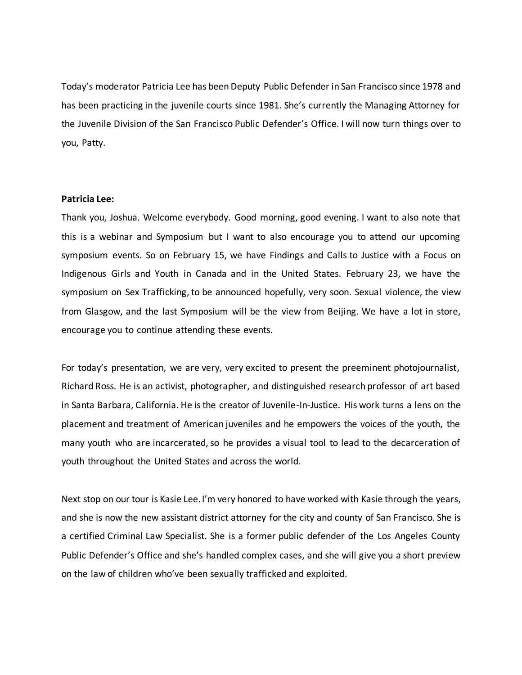Today's moderator Patricia Lee has been Deputy Public Defender in San Francisco since 1978 and has been practicing in the juvenile courts since 1981. She's currently the Managing Attorney for the Juvenile Division of the San Francisco Public Defender's Office. I will now turn things over to you, Patty.

## **Patricia Lee:**

Thank you, Joshua. Welcome everybody. Good morning, good evening. I want to also note that this is a webinar and Symposium but I want to also encourage you to attend our upcoming symposium events. So on February 15, we have Findings and Calls to Justice with a Focus on Indigenous Girls and Youth in Canada and in the United States. February 23, we have the symposium on Sex Trafficking, to be announced hopefully, very soon. Sexual violence, the view from Glasgow, and the last Symposium will be the view from Beijing. We have a lot in store, encourage you to continue attending these events.

For today's presentation, we are very, very excited to present the preeminent photojournalist, Richard Ross. He is an activist, photographer, and distinguished research professor of art based in Santa Barbara, California. He is the creator of Juvenile-In-Justice. His work turns a lens on the placement and treatment of American juveniles and he empowers the voices of the youth, the many youth who are incarcerated, so he provides a visual tool to lead to the decarceration of youth throughout the United States and across the world.

Next stop on our tour is Kasie Lee. I'm very honored to have worked with Kasie through the years, and she is now the new assistant district attorney for the city and county of San Francisco. She is a certified Criminal Law Specialist. She is a former public defender of the Los Angeles County Public Defender's Office and she's handled complex cases, and she will give you a short preview on the law of children who've been sexually trafficked and exploited.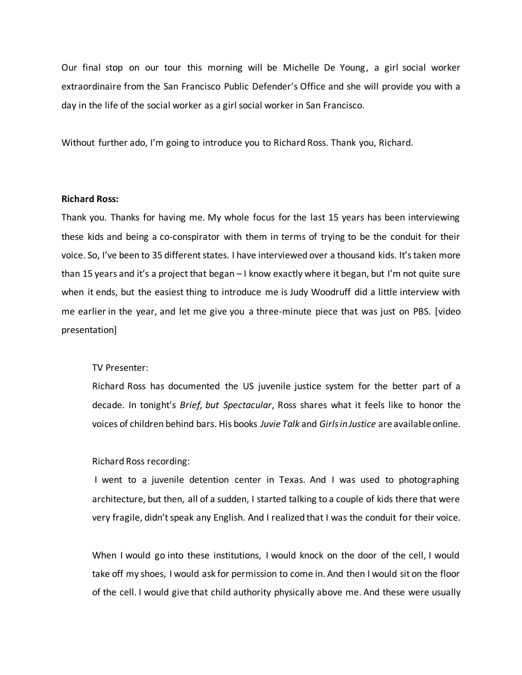Our final stop on our tour this morning will be Michelle De Young, a girl social worker extraordinaire from the San Francisco Public Defender's Office and she will provide you with a day in the life of the social worker as a girl social worker in San Francisco.

Without further ado, I'm going to introduce you to Richard Ross. Thank you, Richard.

## **Richard Ross:**

Thank you. Thanks for having me. My whole focus for the last 15 years has been interviewing these kids and being a co-conspirator with them in terms of trying to be the conduit for their voice. So, I've been to 35 different states. I have interviewed over a thousand kids. It's taken more than 15 years and it's a project that began – I know exactly where it began, but I'm not quite sure when it ends, but the easiest thing to introduce me is Judy Woodruff did a little interview with me earlier in the year, and let me give you a three-minute piece that was just on PBS. [video presentation]

#### TV Presenter:

Richard Ross has documented the US juvenile justice system for the better part of a decade. In tonight's *Brief, but Spectacular*, Ross shares what it feels like to honor the voices of children behind bars. His books *Juvie Talk* and *Girls inJustice* are available online.

#### Richard Ross recording:

I went to a juvenile detention center in Texas. And I was used to photographing architecture, but then, all of a sudden, I started talking to a couple of kids there that were very fragile, didn't speak any English. And I realized that I was the conduit for their voice.

When I would go into these institutions, I would knock on the door of the cell, I would take off my shoes, I would ask for permission to come in. And then I would sit on the floor of the cell. I would give that child authority physically above me. And these were usually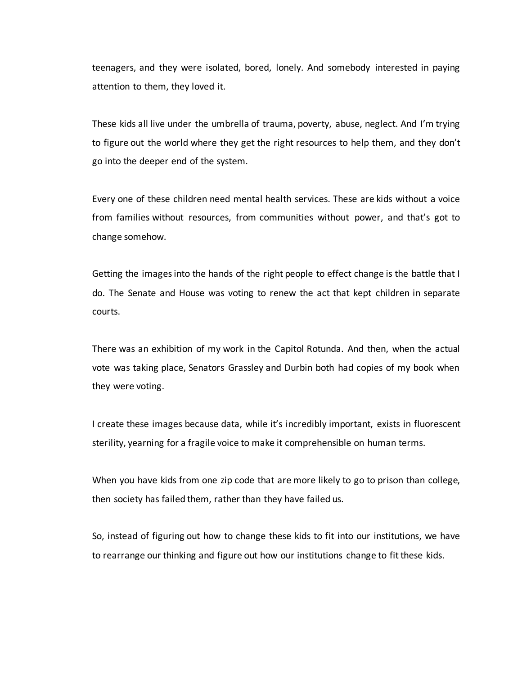teenagers, and they were isolated, bored, lonely. And somebody interested in paying attention to them, they loved it.

These kids all live under the umbrella of trauma, poverty, abuse, neglect. And I'm trying to figure out the world where they get the right resources to help them, and they don't go into the deeper end of the system.

Every one of these children need mental health services. These are kids without a voice from families without resources, from communities without power, and that's got to change somehow.

Getting the images into the hands of the right people to effect change is the battle that I do. The Senate and House was voting to renew the act that kept children in separate courts.

There was an exhibition of my work in the Capitol Rotunda. And then, when the actual vote was taking place, Senators Grassley and Durbin both had copies of my book when they were voting.

I create these images because data, while it's incredibly important, exists in fluorescent sterility, yearning for a fragile voice to make it comprehensible on human terms.

When you have kids from one zip code that are more likely to go to prison than college, then society has failed them, rather than they have failed us.

So, instead of figuring out how to change these kids to fit into our institutions, we have to rearrange our thinking and figure out how our institutions change to fit these kids.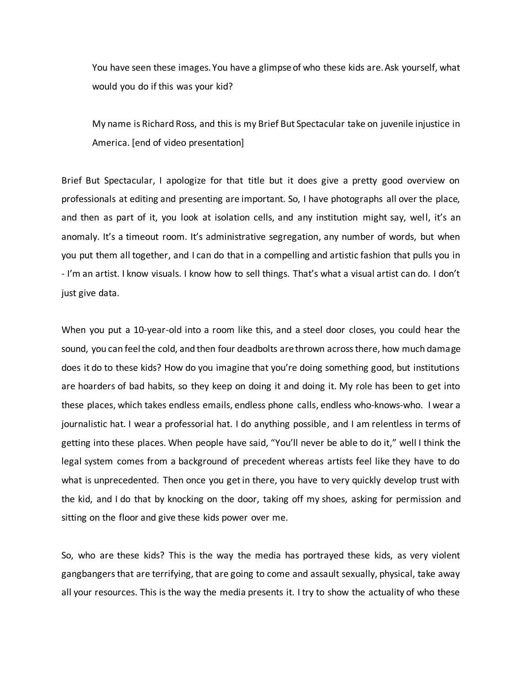You have seen these images. You have a glimpse of who these kids are. Ask yourself, what would you do if this was your kid?

My name is Richard Ross, and this is my Brief But Spectacular take on juvenile injustice in America. [end of video presentation]

Brief But Spectacular, I apologize for that title but it does give a pretty good overview on professionals at editing and presenting are important. So, I have photographs all over the place, and then as part of it, you look at isolation cells, and any institution might say, well, it's an anomaly. It's a timeout room. It's administrative segregation, any number of words, but when you put them all together, and I can do that in a compelling and artistic fashion that pulls you in - I'm an artist. I know visuals. I know how to sell things. That's what a visual artist can do. I don't just give data.

When you put a 10-year-old into a room like this, and a steel door closes, you could hear the sound, you can feel the cold, and then four deadbolts are thrown across there, how much damage does it do to these kids? How do you imagine that you're doing something good, but institutions are hoarders of bad habits, so they keep on doing it and doing it. My role has been to get into these places, which takes endless emails, endless phone calls, endless who-knows-who. I wear a journalistic hat. I wear a professorial hat. I do anything possible, and I am relentless in terms of getting into these places. When people have said, "You'll never be able to do it," well I think the legal system comes from a background of precedent whereas artists feel like they have to do what is unprecedented. Then once you get in there, you have to very quickly develop trust with the kid, and I do that by knocking on the door, taking off my shoes, asking for permission and sitting on the floor and give these kids power over me.

So, who are these kids? This is the way the media has portrayed these kids, as very violent gangbangers that are terrifying, that are going to come and assault sexually, physical, take away all your resources. This is the way the media presents it. I try to show the actuality of who these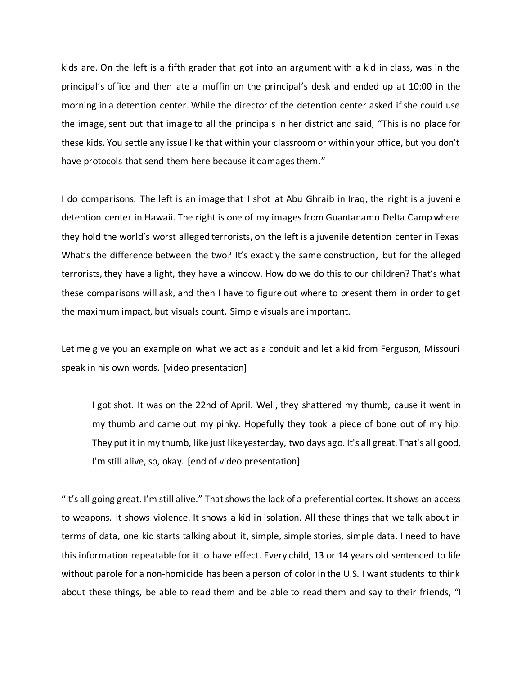kids are. On the left is a fifth grader that got into an argument with a kid in class, was in the principal's office and then ate a muffin on the principal's desk and ended up at 10:00 in the morning in a detention center. While the director of the detention center asked if she could use the image, sent out that image to all the principals in her district and said, "This is no place for these kids. You settle any issue like that within your classroom or within your office, but you don't have protocols that send them here because it damages them."

I do comparisons. The left is an image that I shot at Abu Ghraib in Iraq, the right is a juvenile detention center in Hawaii. The right is one of my images from Guantanamo Delta Camp where they hold the world's worst alleged terrorists, on the left is a juvenile detention center in Texas. What's the difference between the two? It's exactly the same construction, but for the alleged terrorists, they have a light, they have a window. How do we do this to our children? That's what these comparisons will ask, and then I have to figure out where to present them in order to get the maximum impact, but visuals count. Simple visuals are important.

Let me give you an example on what we act as a conduit and let a kid from Ferguson, Missouri speak in his own words. [video presentation]

I got shot. It was on the 22nd of April. Well, they shattered my thumb, cause it went in my thumb and came out my pinky. Hopefully they took a piece of bone out of my hip. They put it in my thumb, like just like yesterday, two days ago. It's all great. That's all good, I'm still alive, so, okay. [end of video presentation]

"It's all going great. I'm still alive." That shows the lack of a preferential cortex. It shows an access to weapons. It shows violence. It shows a kid in isolation. All these things that we talk about in terms of data, one kid starts talking about it, simple, simple stories, simple data. I need to have this information repeatable for it to have effect. Every child, 13 or 14 years old sentenced to life without parole for a non-homicide has been a person of color in the U.S. I want students to think about these things, be able to read them and be able to read them and say to their friends, "I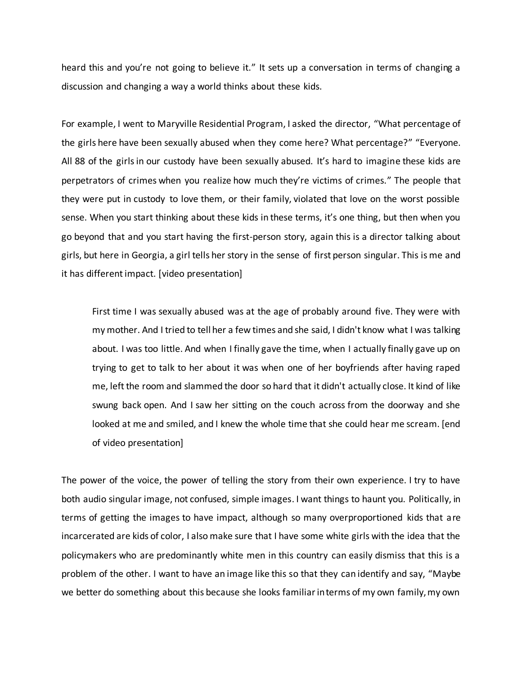heard this and you're not going to believe it." It sets up a conversation in terms of changing a discussion and changing a way a world thinks about these kids.

For example, I went to Maryville Residential Program, I asked the director, "What percentage of the girls here have been sexually abused when they come here? What percentage?" "Everyone. All 88 of the girls in our custody have been sexually abused. It's hard to imagine these kids are perpetrators of crimes when you realize how much they're victims of crimes." The people that they were put in custody to love them, or their family, violated that love on the worst possible sense. When you start thinking about these kids in these terms, it's one thing, but then when you go beyond that and you start having the first-person story, again this is a director talking about girls, but here in Georgia, a girl tells her story in the sense of first person singular. This is me and it has different impact. [video presentation]

First time I was sexually abused was at the age of probably around five. They were with my mother. And I tried to tell her a few times and she said, I didn't know what I was talking about. I was too little. And when I finally gave the time, when I actually finally gave up on trying to get to talk to her about it was when one of her boyfriends after having raped me, left the room and slammed the door so hard that it didn't actually close. It kind of like swung back open. And I saw her sitting on the couch across from the doorway and she looked at me and smiled, and I knew the whole time that she could hear me scream. [end of video presentation]

The power of the voice, the power of telling the story from their own experience. I try to have both audio singular image, not confused, simple images. I want things to haunt you. Politically, in terms of getting the images to have impact, although so many overproportioned kids that are incarcerated are kids of color, I also make sure that I have some white girls with the idea that the policymakers who are predominantly white men in this country can easily dismiss that this is a problem of the other. I want to have an image like this so that they can identify and say, "Maybe we better do something about this because she looks familiar in terms of my own family, my own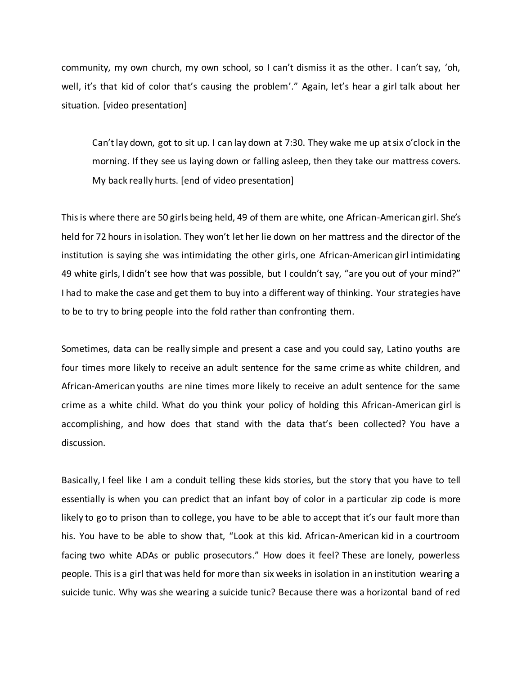community, my own church, my own school, so I can't dismiss it as the other. I can't say, 'oh, well, it's that kid of color that's causing the problem'." Again, let's hear a girl talk about her situation. [video presentation]

Can'tlay down, got to sit up. I can lay down at 7:30. They wake me up at six o'clock in the morning. If they see us laying down or falling asleep, then they take our mattress covers. My back really hurts. [end of video presentation]

This is where there are 50 girls being held, 49 of them are white, one African-American girl. She's held for 72 hours in isolation. They won't let her lie down on her mattress and the director of the institution is saying she was intimidating the other girls, one African-American girl intimidating 49 white girls, I didn't see how that was possible, but I couldn't say, "are you out of your mind?" I had to make the case and get them to buy into a different way of thinking. Your strategies have to be to try to bring people into the fold rather than confronting them.

Sometimes, data can be really simple and present a case and you could say, Latino youths are four times more likely to receive an adult sentence for the same crime as white children, and African-American youths are nine times more likely to receive an adult sentence for the same crime as a white child. What do you think your policy of holding this African-American girl is accomplishing, and how does that stand with the data that's been collected? You have a discussion.

Basically, I feel like I am a conduit telling these kids stories, but the story that you have to tell essentially is when you can predict that an infant boy of color in a particular zip code is more likely to go to prison than to college, you have to be able to accept that it's our fault more than his. You have to be able to show that, "Look at this kid. African-American kid in a courtroom facing two white ADAs or public prosecutors." How does it feel? These are lonely, powerless people. This is a girl that was held for more than six weeks in isolation in an institution wearing a suicide tunic. Why was she wearing a suicide tunic? Because there was a horizontal band of red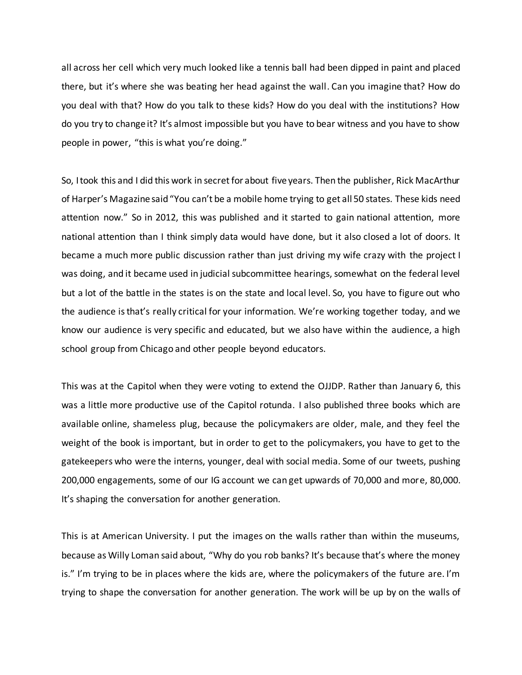all across her cell which very much looked like a tennis ball had been dipped in paint and placed there, but it's where she was beating her head against the wall. Can you imagine that? How do you deal with that? How do you talk to these kids? How do you deal with the institutions? How do you try to change it? It's almost impossible but you have to bear witness and you have to show people in power, "this is what you're doing."

So, I took this and I did this work in secret for about five years. Then the publisher, Rick MacArthur of Harper's Magazine said "You can't be a mobile home trying to get all 50 states. These kids need attention now." So in 2012, this was published and it started to gain national attention, more national attention than I think simply data would have done, but it also closed a lot of doors. It became a much more public discussion rather than just driving my wife crazy with the project I was doing, and it became used in judicial subcommittee hearings, somewhat on the federal level but a lot of the battle in the states is on the state and local level. So, you have to figure out who the audience is that's really critical for your information. We're working together today, and we know our audience is very specific and educated, but we also have within the audience, a high school group from Chicago and other people beyond educators.

This was at the Capitol when they were voting to extend the OJJDP. Rather than January 6, this was a little more productive use of the Capitol rotunda. I also published three books which are available online, shameless plug, because the policymakers are older, male, and they feel the weight of the book is important, but in order to get to the policymakers, you have to get to the gatekeepers who were the interns, younger, deal with social media. Some of our tweets, pushing 200,000 engagements, some of our IG account we can get upwards of 70,000 and more, 80,000. It's shaping the conversation for another generation.

This is at American University. I put the images on the walls rather than within the museums, because as Willy Loman said about, "Why do you rob banks? It's because that's where the money is." I'm trying to be in places where the kids are, where the policymakers of the future are. I'm trying to shape the conversation for another generation. The work will be up by on the walls of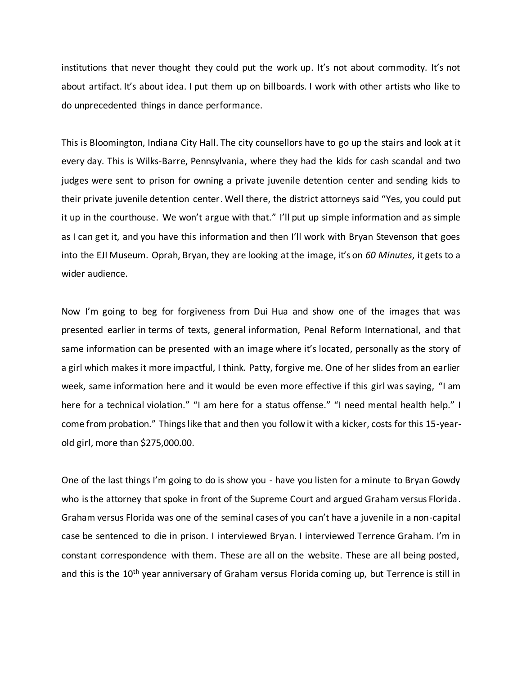institutions that never thought they could put the work up. It's not about commodity. It's not about artifact. It's about idea. I put them up on billboards. I work with other artists who like to do unprecedented things in dance performance.

This is Bloomington, Indiana City Hall. The city counsellors have to go up the stairs and look at it every day. This is Wilks-Barre, Pennsylvania, where they had the kids for cash scandal and two judges were sent to prison for owning a private juvenile detention center and sending kids to their private juvenile detention center. Well there, the district attorneys said "Yes, you could put it up in the courthouse. We won't argue with that." I'll put up simple information and as simple as I can get it, and you have this information and then I'll work with Bryan Stevenson that goes into the EJI Museum. Oprah, Bryan, they are looking at the image, it's on *60 Minutes*, it gets to a wider audience.

Now I'm going to beg for forgiveness from Dui Hua and show one of the images that was presented earlier in terms of texts, general information, Penal Reform International, and that same information can be presented with an image where it's located, personally as the story of a girl which makes it more impactful, I think. Patty, forgive me. One of her slides from an earlier week, same information here and it would be even more effective if this girl was saying, "I am here for a technical violation." "I am here for a status offense." "I need mental health help." I come from probation." Things like that and then you follow it with a kicker, costs for this 15-yearold girl, more than \$275,000.00.

One of the last things I'm going to do is show you - have you listen for a minute to Bryan Gowdy who is the attorney that spoke in front of the Supreme Court and argued Graham versus Florida. Graham versus Florida was one of the seminal cases of you can't have a juvenile in a non-capital case be sentenced to die in prison. I interviewed Bryan. I interviewed Terrence Graham. I'm in constant correspondence with them. These are all on the website. These are all being posted, and this is the 10<sup>th</sup> year anniversary of Graham versus Florida coming up, but Terrence is still in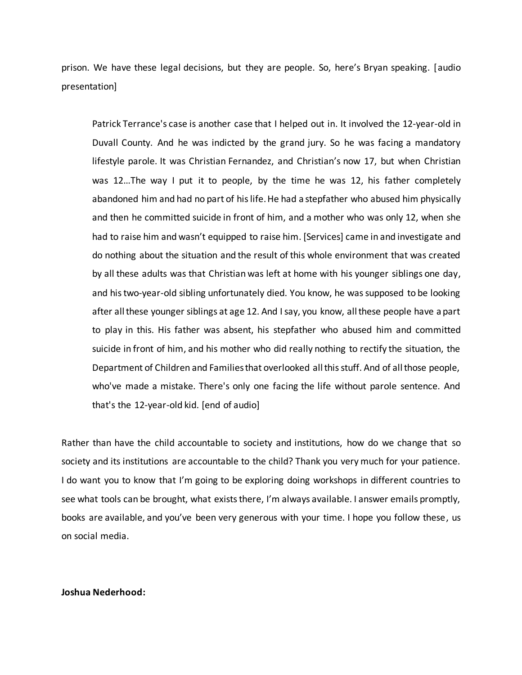prison. We have these legal decisions, but they are people. So, here's Bryan speaking. [audio presentation]

Patrick Terrance's case is another case that I helped out in. It involved the 12-year-old in Duvall County. And he was indicted by the grand jury. So he was facing a mandatory lifestyle parole. It was Christian Fernandez, and Christian's now 17, but when Christian was 12…The way I put it to people, by the time he was 12, his father completely abandoned him and had no part of his life. He had a stepfather who abused him physically and then he committed suicide in front of him, and a mother who was only 12, when she had to raise him and wasn't equipped to raise him. [Services] came in and investigate and do nothing about the situation and the result of this whole environment that was created by all these adults was that Christian was left at home with his younger siblings one day, and his two-year-old sibling unfortunately died. You know, he was supposed to be looking after all these younger siblings at age 12. And I say, you know, all these people have a part to play in this. His father was absent, his stepfather who abused him and committed suicide in front of him, and his mother who did really nothing to rectify the situation, the Department of Children and Families that overlooked all this stuff. And of all those people, who've made a mistake. There's only one facing the life without parole sentence. And that's the 12-year-old kid. [end of audio]

Rather than have the child accountable to society and institutions, how do we change that so society and its institutions are accountable to the child? Thank you very much for your patience. I do want you to know that I'm going to be exploring doing workshops in different countries to see what tools can be brought, what exists there, I'm always available. I answer emails promptly, books are available, and you've been very generous with your time. I hope you follow these, us on social media.

## **Joshua Nederhood:**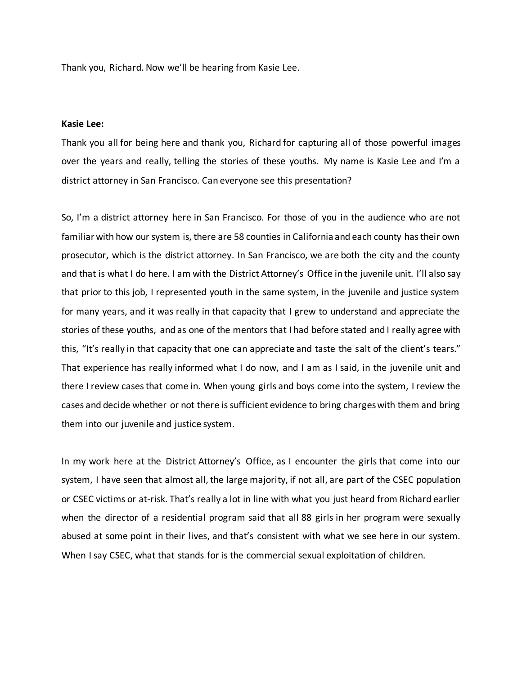Thank you, Richard. Now we'll be hearing from Kasie Lee.

#### **Kasie Lee:**

Thank you all for being here and thank you, Richard for capturing all of those powerful images over the years and really, telling the stories of these youths. My name is Kasie Lee and I'm a district attorney in San Francisco. Can everyone see this presentation?

So, I'm a district attorney here in San Francisco. For those of you in the audience who are not familiar with how our system is, there are 58 counties in California and each county has their own prosecutor, which is the district attorney. In San Francisco, we are both the city and the county and that is what I do here. I am with the District Attorney's Office in the juvenile unit. I'll also say that prior to this job, I represented youth in the same system, in the juvenile and justice system for many years, and it was really in that capacity that I grew to understand and appreciate the stories of these youths, and as one of the mentors that I had before stated and I really agree with this, "It's really in that capacity that one can appreciate and taste the salt of the client's tears." That experience has really informed what I do now, and I am as I said, in the juvenile unit and there I review cases that come in. When young girls and boys come into the system, I review the cases and decide whether or not there is sufficient evidence to bring charges with them and bring them into our juvenile and justice system.

In my work here at the District Attorney's Office, as I encounter the girls that come into our system, I have seen that almost all, the large majority, if not all, are part of the CSEC population or CSEC victims or at-risk. That's really a lot in line with what you just heard from Richard earlier when the director of a residential program said that all 88 girls in her program were sexually abused at some point in their lives, and that's consistent with what we see here in our system. When I say CSEC, what that stands for is the commercial sexual exploitation of children.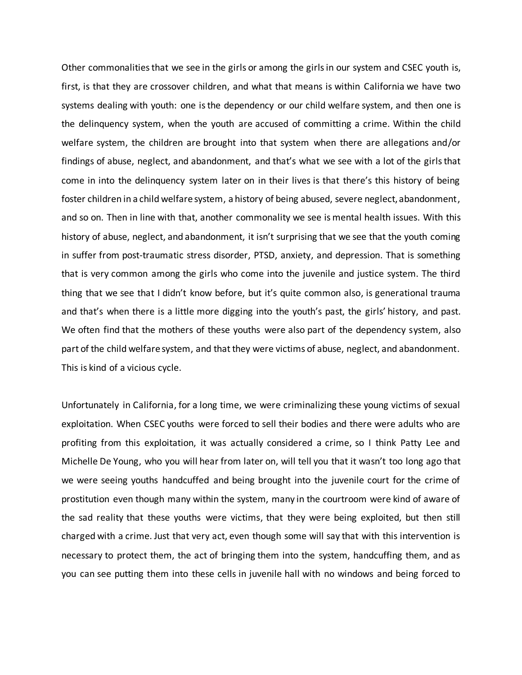Other commonalities that we see in the girls or among the girls in our system and CSEC youth is, first, is that they are crossover children, and what that means is within California we have two systems dealing with youth: one is the dependency or our child welfare system, and then one is the delinquency system, when the youth are accused of committing a crime. Within the child welfare system, the children are brought into that system when there are allegations and/or findings of abuse, neglect, and abandonment, and that's what we see with a lot of the girls that come in into the delinquency system later on in their lives is that there's this history of being foster children in a child welfare system, a history of being abused, severe neglect, abandonment, and so on. Then in line with that, another commonality we see is mental health issues. With this history of abuse, neglect, and abandonment, it isn't surprising that we see that the youth coming in suffer from post-traumatic stress disorder, PTSD, anxiety, and depression. That is something that is very common among the girls who come into the juvenile and justice system. The third thing that we see that I didn't know before, but it's quite common also, is generational trauma and that's when there is a little more digging into the youth's past, the girls' history, and past. We often find that the mothers of these youths were also part of the dependency system, also part of the child welfare system, and that they were victims of abuse, neglect, and abandonment. This is kind of a vicious cycle.

Unfortunately in California, for a long time, we were criminalizing these young victims of sexual exploitation. When CSEC youths were forced to sell their bodies and there were adults who are profiting from this exploitation, it was actually considered a crime, so I think Patty Lee and Michelle De Young, who you will hear from later on, will tell you that it wasn't too long ago that we were seeing youths handcuffed and being brought into the juvenile court for the crime of prostitution even though many within the system, many in the courtroom were kind of aware of the sad reality that these youths were victims, that they were being exploited, but then still charged with a crime. Just that very act, even though some will say that with this intervention is necessary to protect them, the act of bringing them into the system, handcuffing them, and as you can see putting them into these cells in juvenile hall with no windows and being forced to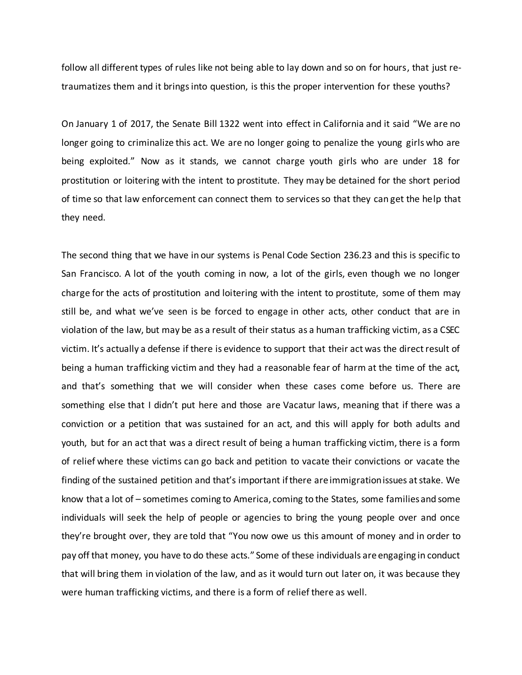follow all different types of rules like not being able to lay down and so on for hours, that just retraumatizes them and it brings into question, is this the proper intervention for these youths?

On January 1 of 2017, the Senate Bill 1322 went into effect in California and it said "We are no longer going to criminalize this act. We are no longer going to penalize the young girls who are being exploited." Now as it stands, we cannot charge youth girls who are under 18 for prostitution or loitering with the intent to prostitute. They may be detained for the short period of time so that law enforcement can connect them to services so that they can get the help that they need.

The second thing that we have in our systems is Penal Code Section 236.23 and this is specific to San Francisco. A lot of the youth coming in now, a lot of the girls, even though we no longer charge for the acts of prostitution and loitering with the intent to prostitute, some of them may still be, and what we've seen is be forced to engage in other acts, other conduct that are in violation of the law, but may be as a result of their status as a human trafficking victim, as a CSEC victim. It's actually a defense if there is evidence to support that their act was the direct result of being a human trafficking victim and they had a reasonable fear of harm at the time of the act, and that's something that we will consider when these cases come before us. There are something else that I didn't put here and those are Vacatur laws, meaning that if there was a conviction or a petition that was sustained for an act, and this will apply for both adults and youth, but for an act that was a direct result of being a human trafficking victim, there is a form of relief where these victims can go back and petition to vacate their convictions or vacate the finding of the sustained petition and that's important if there are immigration issues at stake. We know that a lot of – sometimes coming to America, coming to the States, some families and some individuals will seek the help of people or agencies to bring the young people over and once they're brought over, they are told that "You now owe us this amount of money and in order to pay off that money, you have to do these acts." Some of these individuals are engaging in conduct that will bring them in violation of the law, and as it would turn out later on, it was because they were human trafficking victims, and there is a form of relief there as well.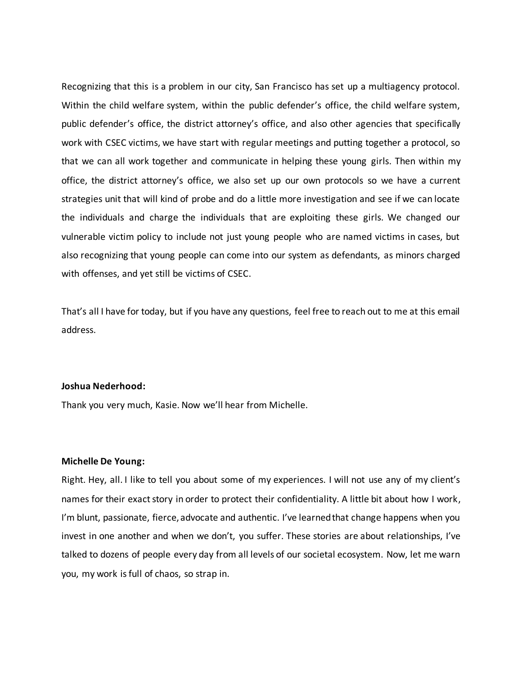Recognizing that this is a problem in our city, San Francisco has set up a multiagency protocol. Within the child welfare system, within the public defender's office, the child welfare system, public defender's office, the district attorney's office, and also other agencies that specifically work with CSEC victims, we have start with regular meetings and putting together a protocol, so that we can all work together and communicate in helping these young girls. Then within my office, the district attorney's office, we also set up our own protocols so we have a current strategies unit that will kind of probe and do a little more investigation and see if we can locate the individuals and charge the individuals that are exploiting these girls. We changed our vulnerable victim policy to include not just young people who are named victims in cases, but also recognizing that young people can come into our system as defendants, as minors charged with offenses, and yet still be victims of CSEC.

That's all I have for today, but if you have any questions, feel free to reach out to me at this email address.

#### **Joshua Nederhood:**

Thank you very much, Kasie. Now we'll hear from Michelle.

#### **Michelle De Young:**

Right. Hey, all. I like to tell you about some of my experiences. I will not use any of my client's names for their exact story in order to protect their confidentiality. A little bit about how I work, I'm blunt, passionate, fierce, advocate and authentic. I've learned that change happens when you invest in one another and when we don't, you suffer. These stories are about relationships, I've talked to dozens of people every day from all levels of our societal ecosystem. Now, let me warn you, my work is full of chaos, so strap in.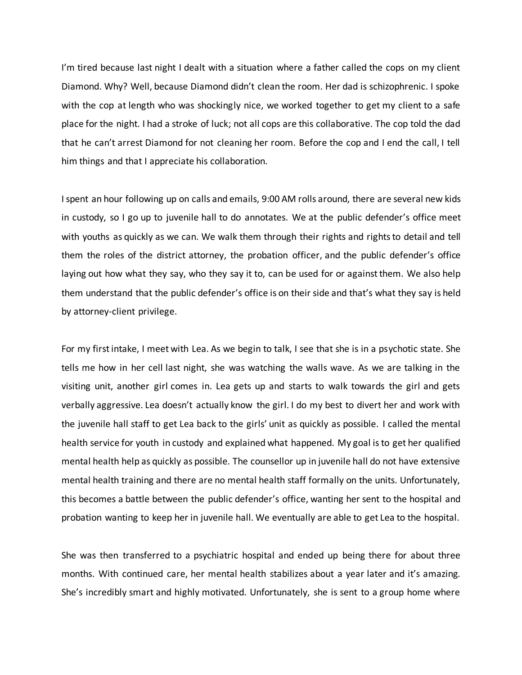I'm tired because last night I dealt with a situation where a father called the cops on my client Diamond. Why? Well, because Diamond didn't clean the room. Her dad is schizophrenic. I spoke with the cop at length who was shockingly nice, we worked together to get my client to a safe place for the night. I had a stroke of luck; not all cops are this collaborative. The cop told the dad that he can't arrest Diamond for not cleaning her room. Before the cop and I end the call, I tell him things and that I appreciate his collaboration.

I spent an hour following up on calls and emails, 9:00 AM rolls around, there are several new kids in custody, so I go up to juvenile hall to do annotates. We at the public defender's office meet with youths as quickly as we can. We walk them through their rights and rights to detail and tell them the roles of the district attorney, the probation officer, and the public defender's office laying out how what they say, who they say it to, can be used for or against them. We also help them understand that the public defender's office is on their side and that's what they say is held by attorney-client privilege.

For my first intake, I meet with Lea. As we begin to talk, I see that she is in a psychotic state. She tells me how in her cell last night, she was watching the walls wave. As we are talking in the visiting unit, another girl comes in. Lea gets up and starts to walk towards the girl and gets verbally aggressive. Lea doesn't actually know the girl. I do my best to divert her and work with the juvenile hall staff to get Lea back to the girls' unit as quickly as possible. I called the mental health service for youth in custody and explained what happened. My goal is to get her qualified mental health help as quickly as possible. The counsellor up in juvenile hall do not have extensive mental health training and there are no mental health staff formally on the units. Unfortunately, this becomes a battle between the public defender's office, wanting her sent to the hospital and probation wanting to keep her in juvenile hall. We eventually are able to get Lea to the hospital.

She was then transferred to a psychiatric hospital and ended up being there for about three months. With continued care, her mental health stabilizes about a year later and it's amazing. She's incredibly smart and highly motivated. Unfortunately, she is sent to a group home where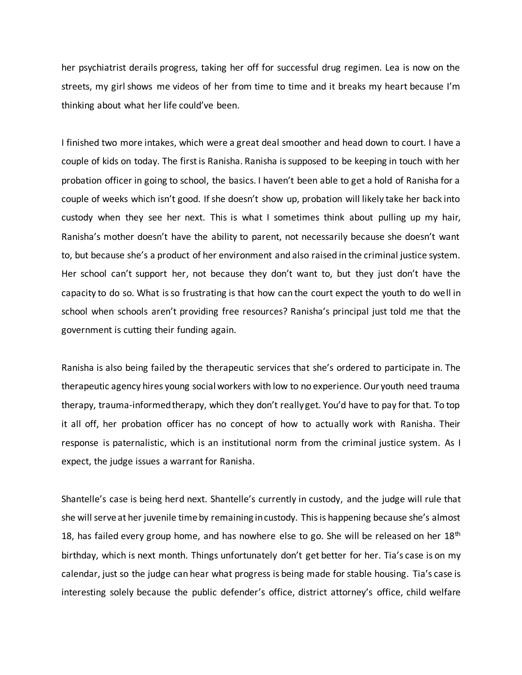her psychiatrist derails progress, taking her off for successful drug regimen. Lea is now on the streets, my girl shows me videos of her from time to time and it breaks my heart because I'm thinking about what her life could've been.

I finished two more intakes, which were a great deal smoother and head down to court. I have a couple of kids on today. The first is Ranisha. Ranisha is supposed to be keeping in touch with her probation officer in going to school, the basics. I haven't been able to get a hold of Ranisha for a couple of weeks which isn't good. If she doesn't show up, probation will likely take her back into custody when they see her next. This is what I sometimes think about pulling up my hair, Ranisha's mother doesn't have the ability to parent, not necessarily because she doesn't want to, but because she's a product of her environment and also raised in the criminal justice system. Her school can't support her, not because they don't want to, but they just don't have the capacity to do so. What is so frustrating is that how can the court expect the youth to do well in school when schools aren't providing free resources? Ranisha's principal just told me that the government is cutting their funding again.

Ranisha is also being failed by the therapeutic services that she's ordered to participate in. The therapeutic agency hires young social workers with low to no experience. Our youth need trauma therapy, trauma-informed therapy, which they don't really get. You'd have to pay for that. To top it all off, her probation officer has no concept of how to actually work with Ranisha. Their response is paternalistic, which is an institutional norm from the criminal justice system. As I expect, the judge issues a warrant for Ranisha.

Shantelle's case is being herd next. Shantelle's currently in custody, and the judge will rule that she will serve at her juvenile time by remaining in custody. This is happening because she's almost 18, has failed every group home, and has nowhere else to go. She will be released on her  $18<sup>th</sup>$ birthday, which is next month. Things unfortunately don't get better for her. Tia's case is on my calendar, just so the judge can hear what progress is being made for stable housing. Tia's case is interesting solely because the public defender's office, district attorney's office, child welfare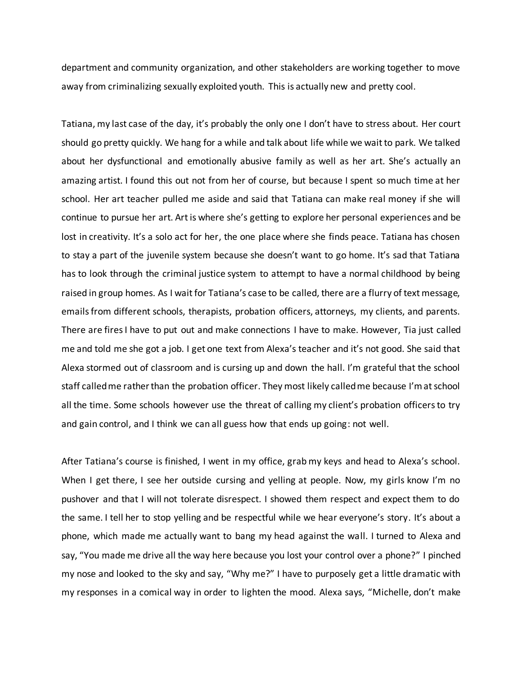department and community organization, and other stakeholders are working together to move away from criminalizing sexually exploited youth. This is actually new and pretty cool.

Tatiana, my last case of the day, it's probably the only one I don't have to stress about. Her court should go pretty quickly. We hang for a while and talk about life while we wait to park. We talked about her dysfunctional and emotionally abusive family as well as her art. She's actually an amazing artist. I found this out not from her of course, but because I spent so much time at her school. Her art teacher pulled me aside and said that Tatiana can make real money if she will continue to pursue her art. Art is where she's getting to explore her personal experiences and be lost in creativity. It's a solo act for her, the one place where she finds peace. Tatiana has chosen to stay a part of the juvenile system because she doesn't want to go home. It's sad that Tatiana has to look through the criminal justice system to attempt to have a normal childhood by being raised in group homes. As I wait for Tatiana's case to be called, there are a flurry of text message, emails from different schools, therapists, probation officers, attorneys, my clients, and parents. There are fires I have to put out and make connections I have to make. However, Tia just called me and told me she got a job. I get one text from Alexa's teacher and it's not good. She said that Alexa stormed out of classroom and is cursing up and down the hall. I'm grateful that the school staff called me rather than the probation officer. They most likely called me because I'm at school all the time. Some schools however use the threat of calling my client's probation officers to try and gain control, and I think we can all guess how that ends up going: not well.

After Tatiana's course is finished, I went in my office, grab my keys and head to Alexa's school. When I get there, I see her outside cursing and yelling at people. Now, my girls know I'm no pushover and that I will not tolerate disrespect. I showed them respect and expect them to do the same. I tell her to stop yelling and be respectful while we hear everyone's story. It's about a phone, which made me actually want to bang my head against the wall. I turned to Alexa and say, "You made me drive all the way here because you lost your control over a phone?" I pinched my nose and looked to the sky and say, "Why me?" I have to purposely get a little dramatic with my responses in a comical way in order to lighten the mood. Alexa says, "Michelle, don't make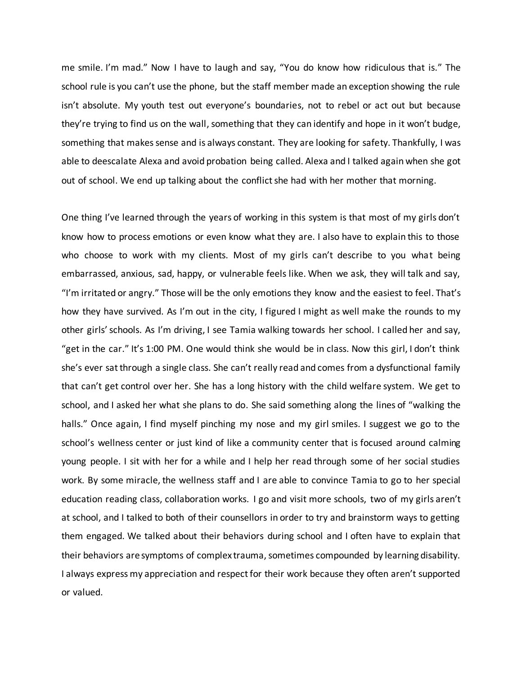me smile. I'm mad." Now I have to laugh and say, "You do know how ridiculous that is." The school rule is you can't use the phone, but the staff member made an exception showing the rule isn't absolute. My youth test out everyone's boundaries, not to rebel or act out but because they're trying to find us on the wall, something that they can identify and hope in it won't budge, something that makes sense and is always constant. They are looking for safety. Thankfully, I was able to deescalate Alexa and avoid probation being called. Alexa and I talked again when she got out of school. We end up talking about the conflict she had with her mother that morning.

One thing I've learned through the years of working in this system is that most of my girls don't know how to process emotions or even know what they are. I also have to explain this to those who choose to work with my clients. Most of my girls can't describe to you what being embarrassed, anxious, sad, happy, or vulnerable feels like. When we ask, they will talk and say, "I'm irritated or angry." Those will be the only emotions they know and the easiest to feel. That's how they have survived. As I'm out in the city, I figured I might as well make the rounds to my other girls' schools. As I'm driving, I see Tamia walking towards her school. I called her and say, "get in the car." It's 1:00 PM. One would think she would be in class. Now this girl, I don't think she's ever sat through a single class. She can't really read and comes from a dysfunctional family that can't get control over her. She has a long history with the child welfare system. We get to school, and I asked her what she plans to do. She said something along the lines of "walking the halls." Once again, I find myself pinching my nose and my girl smiles. I suggest we go to the school's wellness center or just kind of like a community center that is focused around calming young people. I sit with her for a while and I help her read through some of her social studies work. By some miracle, the wellness staff and I are able to convince Tamia to go to her special education reading class, collaboration works. I go and visit more schools, two of my girls aren't at school, and I talked to both of their counsellors in order to try and brainstorm ways to getting them engaged. We talked about their behaviors during school and I often have to explain that their behaviors are symptoms of complex trauma, sometimes compounded by learning disability. I always express my appreciation and respect for their work because they often aren't supported or valued.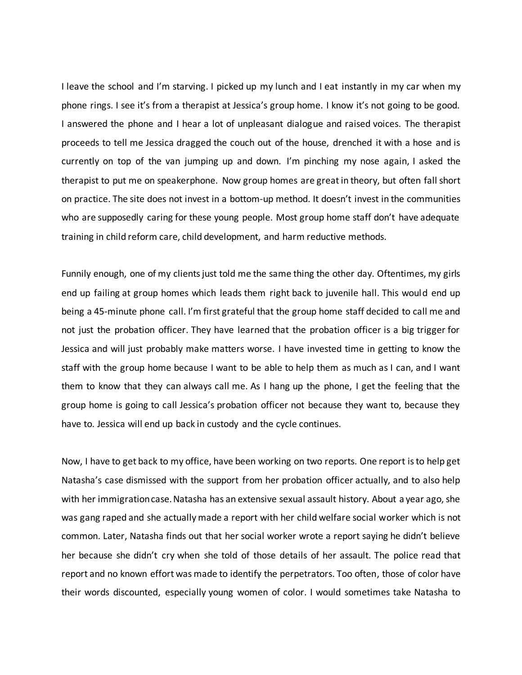I leave the school and I'm starving. I picked up my lunch and I eat instantly in my car when my phone rings. I see it's from a therapist at Jessica's group home. I know it's not going to be good. I answered the phone and I hear a lot of unpleasant dialogue and raised voices. The therapist proceeds to tell me Jessica dragged the couch out of the house, drenched it with a hose and is currently on top of the van jumping up and down. I'm pinching my nose again, I asked the therapist to put me on speakerphone. Now group homes are great in theory, but often fall short on practice. The site does not invest in a bottom-up method. It doesn't invest in the communities who are supposedly caring for these young people. Most group home staff don't have adequate training in child reform care, child development, and harm reductive methods.

Funnily enough, one of my clients just told me the same thing the other day. Oftentimes, my girls end up failing at group homes which leads them right back to juvenile hall. This would end up being a 45-minute phone call. I'm first grateful that the group home staff decided to call me and not just the probation officer. They have learned that the probation officer is a big trigger for Jessica and will just probably make matters worse. I have invested time in getting to know the staff with the group home because I want to be able to help them as much as I can, and I want them to know that they can always call me. As I hang up the phone, I get the feeling that the group home is going to call Jessica's probation officer not because they want to, because they have to. Jessica will end up back in custody and the cycle continues.

Now, I have to get back to my office, have been working on two reports. One report is to help get Natasha's case dismissed with the support from her probation officer actually, and to also help with her immigration case. Natasha has an extensive sexual assault history. About a year ago, she was gang raped and she actually made a report with her child welfare social worker which is not common. Later, Natasha finds out that her social worker wrote a report saying he didn't believe her because she didn't cry when she told of those details of her assault. The police read that report and no known effort was made to identify the perpetrators. Too often, those of color have their words discounted, especially young women of color. I would sometimes take Natasha to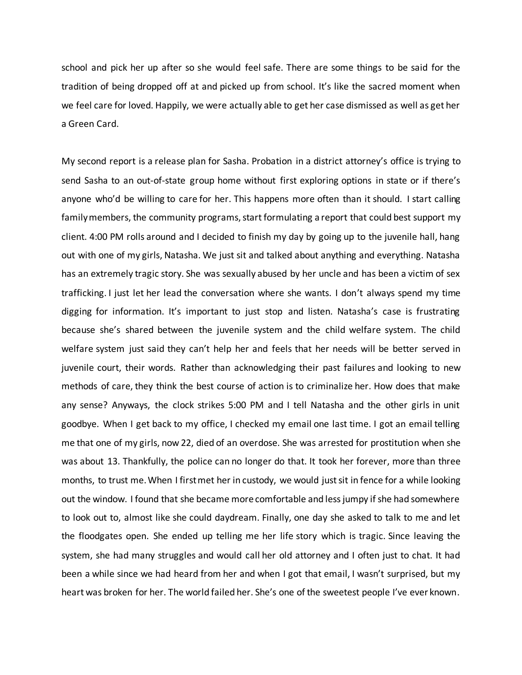school and pick her up after so she would feel safe. There are some things to be said for the tradition of being dropped off at and picked up from school. It's like the sacred moment when we feel care for loved. Happily, we were actually able to get her case dismissed as well as get her a Green Card.

My second report is a release plan for Sasha. Probation in a district attorney's office is trying to send Sasha to an out-of-state group home without first exploring options in state or if there's anyone who'd be willing to care for her. This happens more often than it should. I start calling family members, the community programs, start formulating a report that could best support my client. 4:00 PM rolls around and I decided to finish my day by going up to the juvenile hall, hang out with one of my girls, Natasha. We just sit and talked about anything and everything. Natasha has an extremely tragic story. She was sexually abused by her uncle and has been a victim of sex trafficking. I just let her lead the conversation where she wants. I don't always spend my time digging for information. It's important to just stop and listen. Natasha's case is frustrating because she's shared between the juvenile system and the child welfare system. The child welfare system just said they can't help her and feels that her needs will be better served in juvenile court, their words. Rather than acknowledging their past failures and looking to new methods of care, they think the best course of action is to criminalize her. How does that make any sense? Anyways, the clock strikes 5:00 PM and I tell Natasha and the other girls in unit goodbye. When I get back to my office, I checked my email one last time. I got an email telling me that one of my girls, now 22, died of an overdose. She was arrested for prostitution when she was about 13. Thankfully, the police can no longer do that. It took her forever, more than three months, to trust me. When I first met her in custody, we would just sit in fence for a while looking out the window. I found that she became more comfortable and less jumpy if she had somewhere to look out to, almost like she could daydream. Finally, one day she asked to talk to me and let the floodgates open. She ended up telling me her life story which is tragic. Since leaving the system, she had many struggles and would call her old attorney and I often just to chat. It had been a while since we had heard from her and when I got that email, I wasn't surprised, but my heart was broken for her. The world failed her. She's one of the sweetest people I've ever known.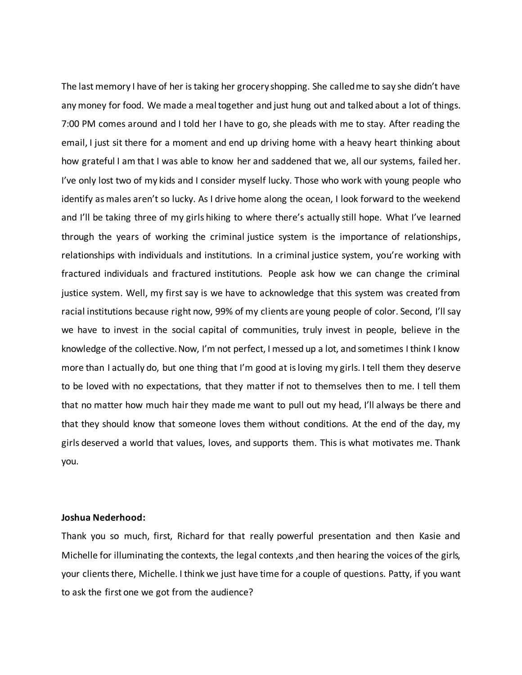The last memory I have of her is taking her grocery shopping. She called me to say she didn't have any money for food. We made a meal together and just hung out and talked about a lot of things. 7:00 PM comes around and I told her I have to go, she pleads with me to stay. After reading the email, I just sit there for a moment and end up driving home with a heavy heart thinking about how grateful I am that I was able to know her and saddened that we, all our systems, failed her. I've only lost two of my kids and I consider myself lucky. Those who work with young people who identify as males aren't so lucky. As I drive home along the ocean, I look forward to the weekend and I'll be taking three of my girls hiking to where there's actually still hope. What I've learned through the years of working the criminal justice system is the importance of relationships, relationships with individuals and institutions. In a criminal justice system, you're working with fractured individuals and fractured institutions. People ask how we can change the criminal justice system. Well, my first say is we have to acknowledge that this system was created from racial institutions because right now, 99% of my clients are young people of color. Second, I'll say we have to invest in the social capital of communities, truly invest in people, believe in the knowledge of the collective. Now, I'm not perfect, I messed up a lot, and sometimes I think I know more than I actually do, but one thing that I'm good at is loving my girls. I tell them they deserve to be loved with no expectations, that they matter if not to themselves then to me. I tell them that no matter how much hair they made me want to pull out my head, I'll always be there and that they should know that someone loves them without conditions. At the end of the day, my girls deserved a world that values, loves, and supports them. This is what motivates me. Thank you.

#### **Joshua Nederhood:**

Thank you so much, first, Richard for that really powerful presentation and then Kasie and Michelle for illuminating the contexts, the legal contexts ,and then hearing the voices of the girls, your clients there, Michelle. I think we just have time for a couple of questions. Patty, if you want to ask the first one we got from the audience?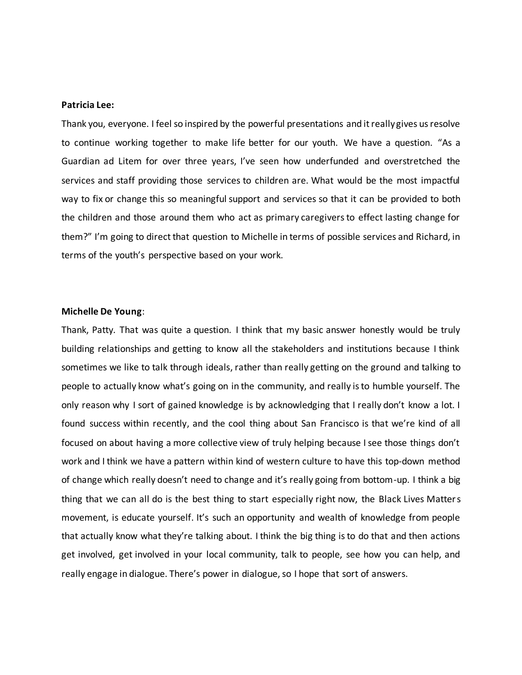## **Patricia Lee:**

Thank you, everyone. I feel so inspired by the powerful presentations and it really gives us resolve to continue working together to make life better for our youth. We have a question. "As a Guardian ad Litem for over three years, I've seen how underfunded and overstretched the services and staff providing those services to children are. What would be the most impactful way to fix or change this so meaningful support and services so that it can be provided to both the children and those around them who act as primary caregivers to effect lasting change for them?" I'm going to direct that question to Michelle in terms of possible services and Richard, in terms of the youth's perspective based on your work.

## **Michelle De Young**:

Thank, Patty. That was quite a question. I think that my basic answer honestly would be truly building relationships and getting to know all the stakeholders and institutions because I think sometimes we like to talk through ideals, rather than really getting on the ground and talking to people to actually know what's going on in the community, and really is to humble yourself. The only reason why I sort of gained knowledge is by acknowledging that I really don't know a lot. I found success within recently, and the cool thing about San Francisco is that we're kind of all focused on about having a more collective view of truly helping because I see those things don't work and I think we have a pattern within kind of western culture to have this top-down method of change which really doesn't need to change and it's really going from bottom-up. I think a big thing that we can all do is the best thing to start especially right now, the Black Lives Matters movement, is educate yourself. It's such an opportunity and wealth of knowledge from people that actually know what they're talking about. I think the big thing is to do that and then actions get involved, get involved in your local community, talk to people, see how you can help, and really engage in dialogue. There's power in dialogue, so I hope that sort of answers.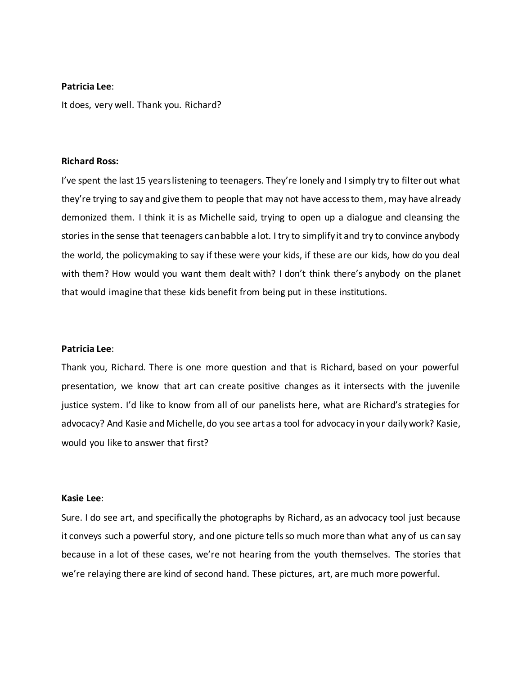## **Patricia Lee**:

It does, very well. Thank you. Richard?

#### **Richard Ross:**

I've spent the last 15 years listening to teenagers. They're lonely and I simply try to filter out what they're trying to say and give them to people that may not have access to them, may have already demonized them. I think it is as Michelle said, trying to open up a dialogue and cleansing the stories in the sense that teenagers can babble a lot. I try to simplify it and try to convince anybody the world, the policymaking to say if these were your kids, if these are our kids, how do you deal with them? How would you want them dealt with? I don't think there's anybody on the planet that would imagine that these kids benefit from being put in these institutions.

#### **Patricia Lee**:

Thank you, Richard. There is one more question and that is Richard, based on your powerful presentation, we know that art can create positive changes as it intersects with the juvenile justice system. I'd like to know from all of our panelists here, what are Richard's strategies for advocacy? And Kasie and Michelle, do you see art as a tool for advocacy in your daily work? Kasie, would you like to answer that first?

## **Kasie Lee**:

Sure. I do see art, and specifically the photographs by Richard, as an advocacy tool just because it conveys such a powerful story, and one picture tells so much more than what any of us can say because in a lot of these cases, we're not hearing from the youth themselves. The stories that we're relaying there are kind of second hand. These pictures, art, are much more powerful.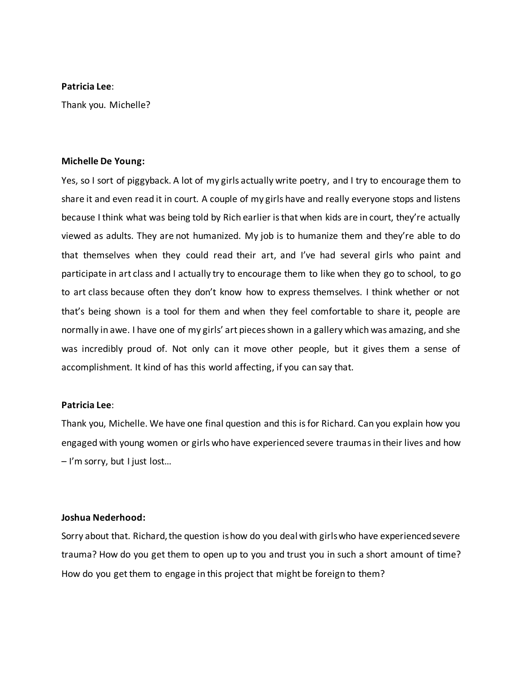## **Patricia Lee**:

Thank you. Michelle?

#### **Michelle De Young:**

Yes, so I sort of piggyback. A lot of my girls actually write poetry, and I try to encourage them to share it and even read it in court. A couple of my girls have and really everyone stops and listens because I think what was being told by Rich earlier is that when kids are in court, they're actually viewed as adults. They are not humanized. My job is to humanize them and they're able to do that themselves when they could read their art, and I've had several girls who paint and participate in art class and I actually try to encourage them to like when they go to school, to go to art class because often they don't know how to express themselves. I think whether or not that's being shown is a tool for them and when they feel comfortable to share it, people are normally in awe. I have one of my girls' art pieces shown in a gallery which was amazing, and she was incredibly proud of. Not only can it move other people, but it gives them a sense of accomplishment. It kind of has this world affecting, if you can say that.

## **Patricia Lee**:

Thank you, Michelle. We have one final question and this is for Richard. Can you explain how you engaged with young women or girls who have experienced severe traumas in their lives and how – I'm sorry, but I just lost…

## **Joshua Nederhood:**

Sorry about that. Richard, the question is how do you deal with girls who have experienced severe trauma? How do you get them to open up to you and trust you in such a short amount of time? How do you get them to engage in this project that might be foreign to them?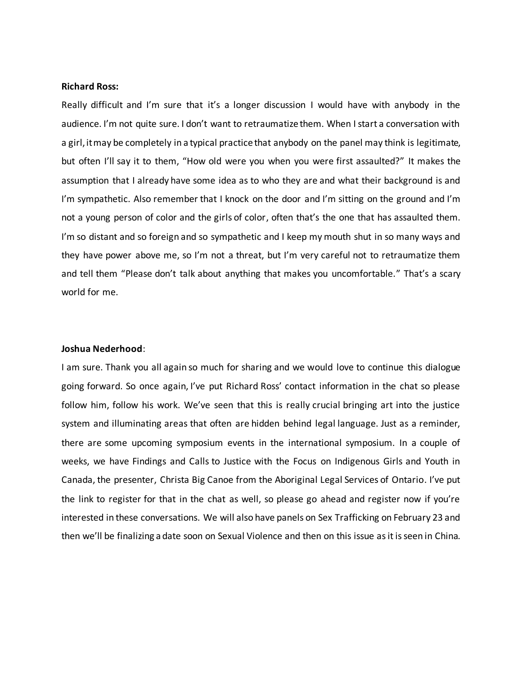## **Richard Ross:**

Really difficult and I'm sure that it's a longer discussion I would have with anybody in the audience. I'm not quite sure. I don't want to retraumatize them. When I start a conversation with a girl, it may be completely in a typical practice that anybody on the panel may think is legitimate, but often I'll say it to them, "How old were you when you were first assaulted?" It makes the assumption that I already have some idea as to who they are and what their background is and I'm sympathetic. Also remember that I knock on the door and I'm sitting on the ground and I'm not a young person of color and the girls of color, often that's the one that has assaulted them. I'm so distant and so foreign and so sympathetic and I keep my mouth shut in so many ways and they have power above me, so I'm not a threat, but I'm very careful not to retraumatize them and tell them "Please don't talk about anything that makes you uncomfortable." That's a scary world for me.

#### **Joshua Nederhood**:

I am sure. Thank you all again so much for sharing and we would love to continue this dialogue going forward. So once again, I've put Richard Ross' contact information in the chat so please follow him, follow his work. We've seen that this is really crucial bringing art into the justice system and illuminating areas that often are hidden behind legal language. Just as a reminder, there are some upcoming symposium events in the international symposium. In a couple of weeks, we have Findings and Calls to Justice with the Focus on Indigenous Girls and Youth in Canada, the presenter, Christa Big Canoe from the Aboriginal Legal Services of Ontario. I've put the link to register for that in the chat as well, so please go ahead and register now if you're interested in these conversations. We will also have panels on Sex Trafficking on February 23 and then we'll be finalizing a date soon on Sexual Violence and then on this issue as it is seen in China.